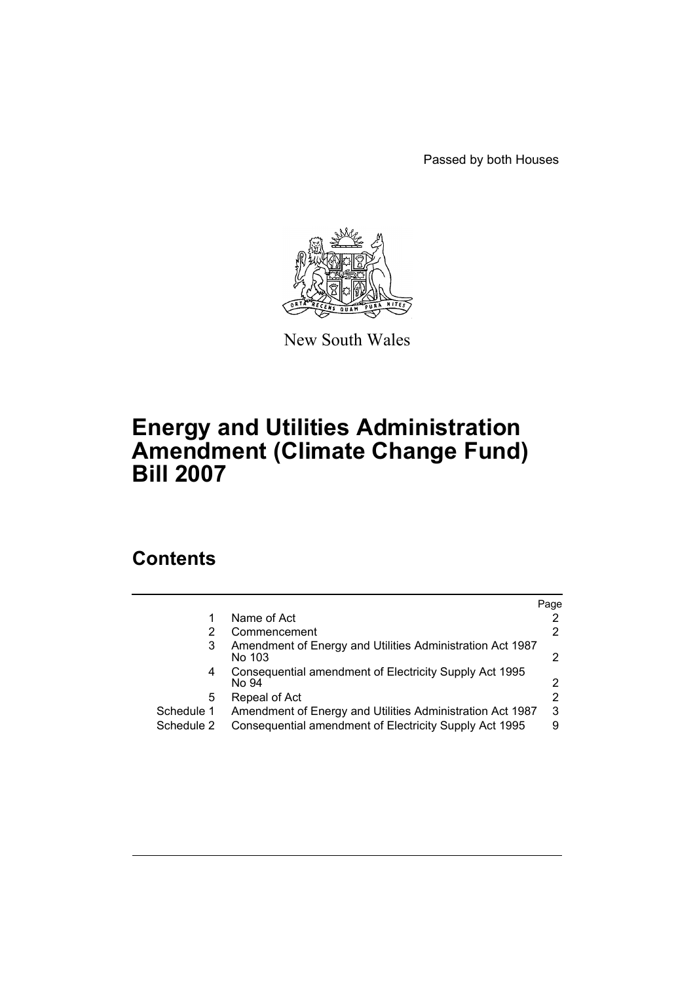Passed by both Houses



New South Wales

# **Energy and Utilities Administration Amendment (Climate Change Fund) Bill 2007**

# **Contents**

|            |                                                                     | Page |
|------------|---------------------------------------------------------------------|------|
|            | Name of Act                                                         | 2    |
|            | Commencement                                                        | 2    |
| 3          | Amendment of Energy and Utilities Administration Act 1987<br>No 103 | 2    |
| 4          | Consequential amendment of Electricity Supply Act 1995<br>No 94     | 2    |
| 5.         | Repeal of Act                                                       | 2    |
| Schedule 1 | Amendment of Energy and Utilities Administration Act 1987           | 3    |
| Schedule 2 | Consequential amendment of Electricity Supply Act 1995              | 9    |
|            |                                                                     |      |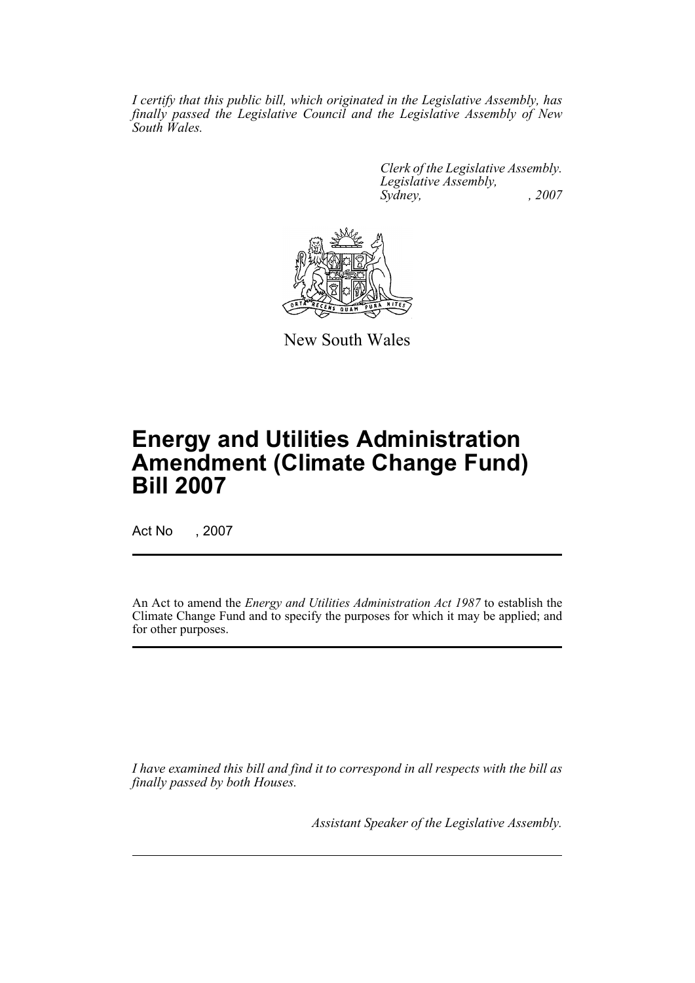*I certify that this public bill, which originated in the Legislative Assembly, has finally passed the Legislative Council and the Legislative Assembly of New South Wales.*

> *Clerk of the Legislative Assembly. Legislative Assembly, Sydney, , 2007*



New South Wales

# **Energy and Utilities Administration Amendment (Climate Change Fund) Bill 2007**

Act No , 2007

An Act to amend the *Energy and Utilities Administration Act 1987* to establish the Climate Change Fund and to specify the purposes for which it may be applied; and for other purposes.

*I have examined this bill and find it to correspond in all respects with the bill as finally passed by both Houses.*

*Assistant Speaker of the Legislative Assembly.*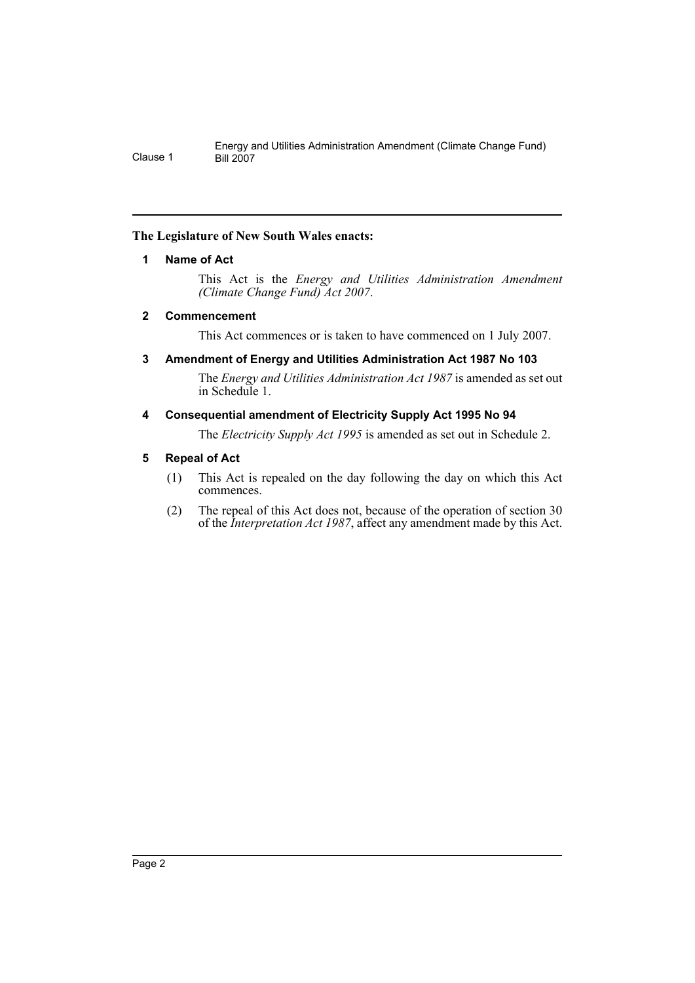## <span id="page-2-0"></span>**The Legislature of New South Wales enacts:**

## **1 Name of Act**

This Act is the *Energy and Utilities Administration Amendment (Climate Change Fund) Act 2007*.

## <span id="page-2-1"></span>**2 Commencement**

This Act commences or is taken to have commenced on 1 July 2007.

## <span id="page-2-2"></span>**3 Amendment of Energy and Utilities Administration Act 1987 No 103**

The *Energy and Utilities Administration Act 1987* is amended as set out in Schedule 1.

## <span id="page-2-3"></span>**4 Consequential amendment of Electricity Supply Act 1995 No 94**

The *Electricity Supply Act 1995* is amended as set out in Schedule 2.

## <span id="page-2-4"></span>**5 Repeal of Act**

- (1) This Act is repealed on the day following the day on which this Act commences.
- (2) The repeal of this Act does not, because of the operation of section 30 of the *Interpretation Act 1987*, affect any amendment made by this Act.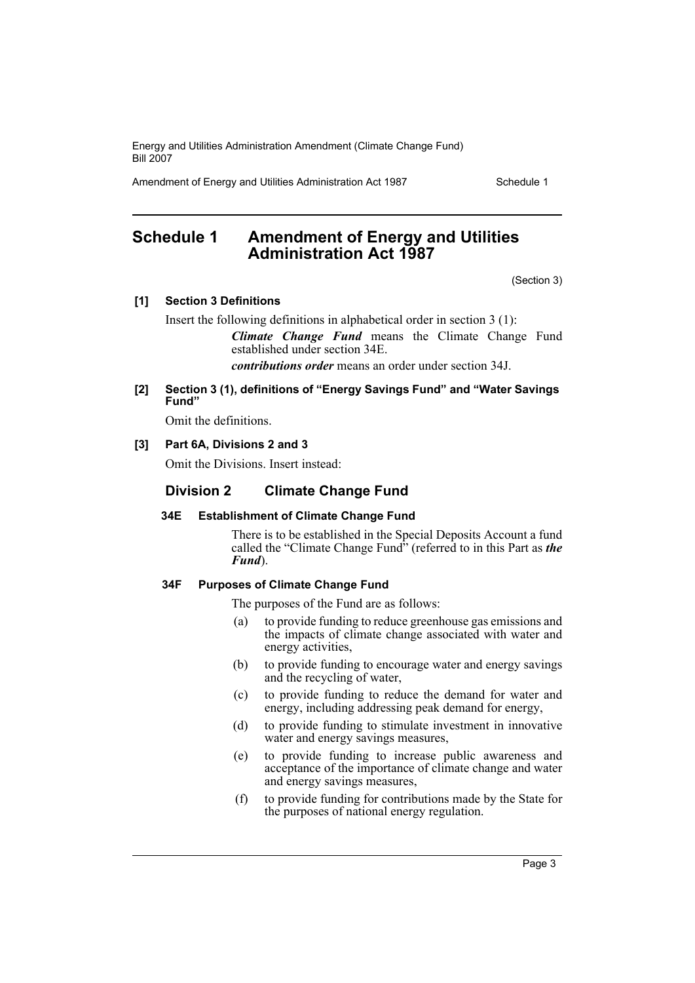Amendment of Energy and Utilities Administration Act 1987 Schedule 1

# <span id="page-3-0"></span>**Schedule 1 Amendment of Energy and Utilities Administration Act 1987**

(Section 3)

#### **[1] Section 3 Definitions**

Insert the following definitions in alphabetical order in section 3 (1):

*Climate Change Fund* means the Climate Change Fund established under section 34E.

*contributions order* means an order under section 34J.

#### **[2] Section 3 (1), definitions of "Energy Savings Fund" and "Water Savings Fund"**

Omit the definitions.

#### **[3] Part 6A, Divisions 2 and 3**

Omit the Divisions. Insert instead:

## **Division 2 Climate Change Fund**

#### **34E Establishment of Climate Change Fund**

There is to be established in the Special Deposits Account a fund called the "Climate Change Fund" (referred to in this Part as *the Fund*).

#### **34F Purposes of Climate Change Fund**

The purposes of the Fund are as follows:

- (a) to provide funding to reduce greenhouse gas emissions and the impacts of climate change associated with water and energy activities,
- (b) to provide funding to encourage water and energy savings and the recycling of water,
- (c) to provide funding to reduce the demand for water and energy, including addressing peak demand for energy,
- (d) to provide funding to stimulate investment in innovative water and energy savings measures,
- (e) to provide funding to increase public awareness and acceptance of the importance of climate change and water and energy savings measures,
- (f) to provide funding for contributions made by the State for the purposes of national energy regulation.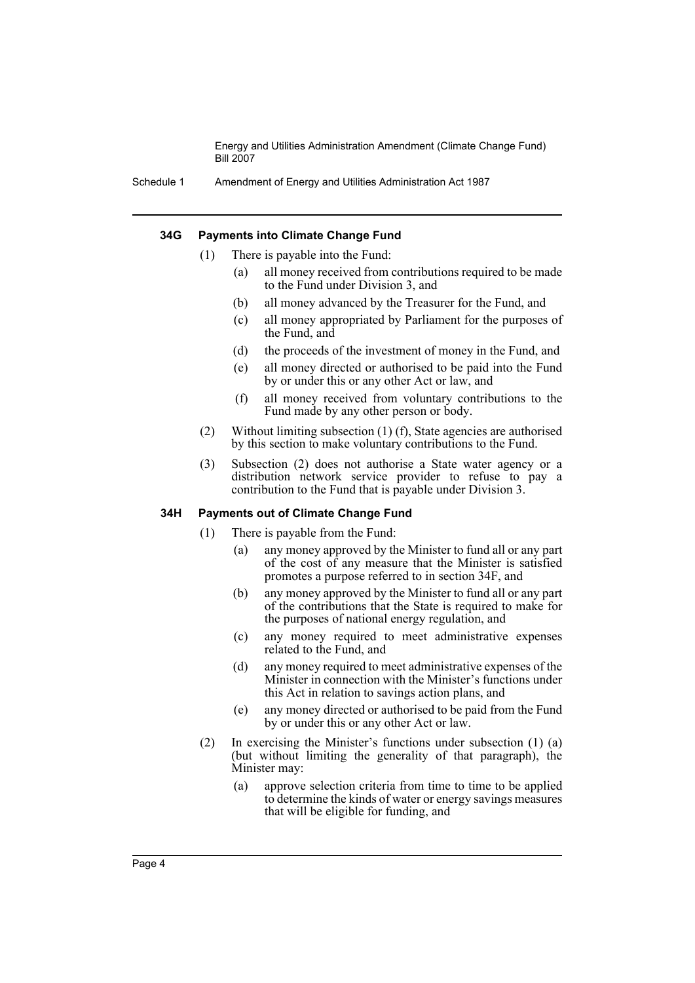Schedule 1 Amendment of Energy and Utilities Administration Act 1987

#### **34G Payments into Climate Change Fund**

- (1) There is payable into the Fund:
	- (a) all money received from contributions required to be made to the Fund under Division 3, and
	- (b) all money advanced by the Treasurer for the Fund, and
	- (c) all money appropriated by Parliament for the purposes of the Fund, and
	- (d) the proceeds of the investment of money in the Fund, and
	- (e) all money directed or authorised to be paid into the Fund by or under this or any other Act or law, and
	- (f) all money received from voluntary contributions to the Fund made by any other person or body.
- (2) Without limiting subsection (1) (f), State agencies are authorised by this section to make voluntary contributions to the Fund.
- (3) Subsection (2) does not authorise a State water agency or a distribution network service provider to refuse to pay a contribution to the Fund that is payable under Division 3.

#### **34H Payments out of Climate Change Fund**

- (1) There is payable from the Fund:
	- (a) any money approved by the Minister to fund all or any part of the cost of any measure that the Minister is satisfied promotes a purpose referred to in section 34F, and
	- (b) any money approved by the Minister to fund all or any part of the contributions that the State is required to make for the purposes of national energy regulation, and
	- (c) any money required to meet administrative expenses related to the Fund, and
	- (d) any money required to meet administrative expenses of the Minister in connection with the Minister's functions under this Act in relation to savings action plans, and
	- (e) any money directed or authorised to be paid from the Fund by or under this or any other Act or law.
- (2) In exercising the Minister's functions under subsection (1) (a) (but without limiting the generality of that paragraph), the Minister may:
	- (a) approve selection criteria from time to time to be applied to determine the kinds of water or energy savings measures that will be eligible for funding, and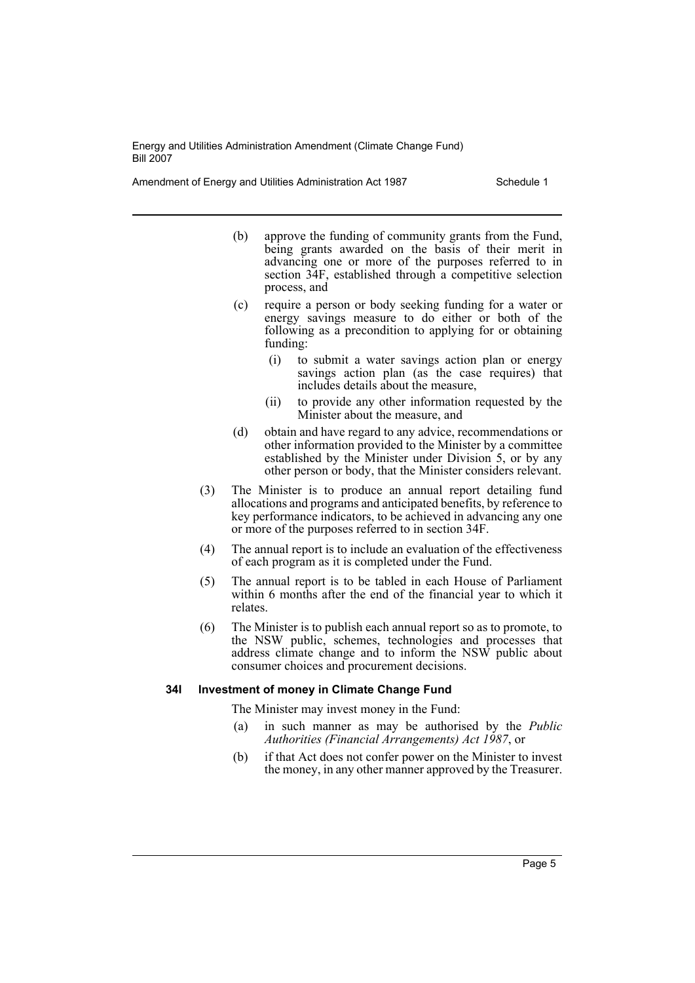Amendment of Energy and Utilities Administration Act 1987 Schedule 1

- (b) approve the funding of community grants from the Fund, being grants awarded on the basis of their merit in advancing one or more of the purposes referred to in section 34F, established through a competitive selection process, and
- (c) require a person or body seeking funding for a water or energy savings measure to do either or both of the following as a precondition to applying for or obtaining funding:
	- (i) to submit a water savings action plan or energy savings action plan (as the case requires) that includes details about the measure,
	- (ii) to provide any other information requested by the Minister about the measure, and
- (d) obtain and have regard to any advice, recommendations or other information provided to the Minister by a committee established by the Minister under Division 5, or by any other person or body, that the Minister considers relevant.
- (3) The Minister is to produce an annual report detailing fund allocations and programs and anticipated benefits, by reference to key performance indicators, to be achieved in advancing any one or more of the purposes referred to in section 34F.
- (4) The annual report is to include an evaluation of the effectiveness of each program as it is completed under the Fund.
- (5) The annual report is to be tabled in each House of Parliament within 6 months after the end of the financial year to which it relates.
- (6) The Minister is to publish each annual report so as to promote, to the NSW public, schemes, technologies and processes that address climate change and to inform the NSW public about consumer choices and procurement decisions.

#### **34I Investment of money in Climate Change Fund**

The Minister may invest money in the Fund:

- (a) in such manner as may be authorised by the *Public Authorities (Financial Arrangements) Act 1987*, or
- (b) if that Act does not confer power on the Minister to invest the money, in any other manner approved by the Treasurer.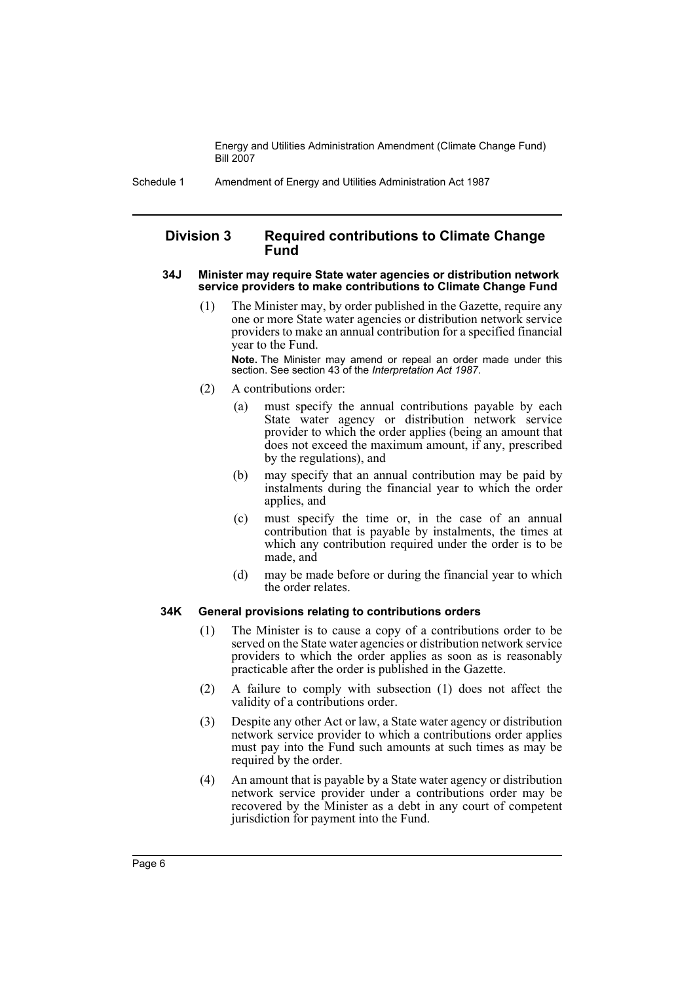Schedule 1 Amendment of Energy and Utilities Administration Act 1987

#### **Division 3 Required contributions to Climate Change Fund**

#### **34J Minister may require State water agencies or distribution network service providers to make contributions to Climate Change Fund**

(1) The Minister may, by order published in the Gazette, require any one or more State water agencies or distribution network service providers to make an annual contribution for a specified financial year to the Fund.

**Note.** The Minister may amend or repeal an order made under this section. See section 43 of the *Interpretation Act 1987*.

- (2) A contributions order:
	- (a) must specify the annual contributions payable by each State water agency or distribution network service provider to which the order applies (being an amount that does not exceed the maximum amount, if any, prescribed by the regulations), and
	- (b) may specify that an annual contribution may be paid by instalments during the financial year to which the order applies, and
	- (c) must specify the time or, in the case of an annual contribution that is payable by instalments, the times at which any contribution required under the order is to be made, and
	- (d) may be made before or during the financial year to which the order relates.

#### **34K General provisions relating to contributions orders**

- (1) The Minister is to cause a copy of a contributions order to be served on the State water agencies or distribution network service providers to which the order applies as soon as is reasonably practicable after the order is published in the Gazette.
- (2) A failure to comply with subsection (1) does not affect the validity of a contributions order.
- (3) Despite any other Act or law, a State water agency or distribution network service provider to which a contributions order applies must pay into the Fund such amounts at such times as may be required by the order.
- (4) An amount that is payable by a State water agency or distribution network service provider under a contributions order may be recovered by the Minister as a debt in any court of competent jurisdiction for payment into the Fund.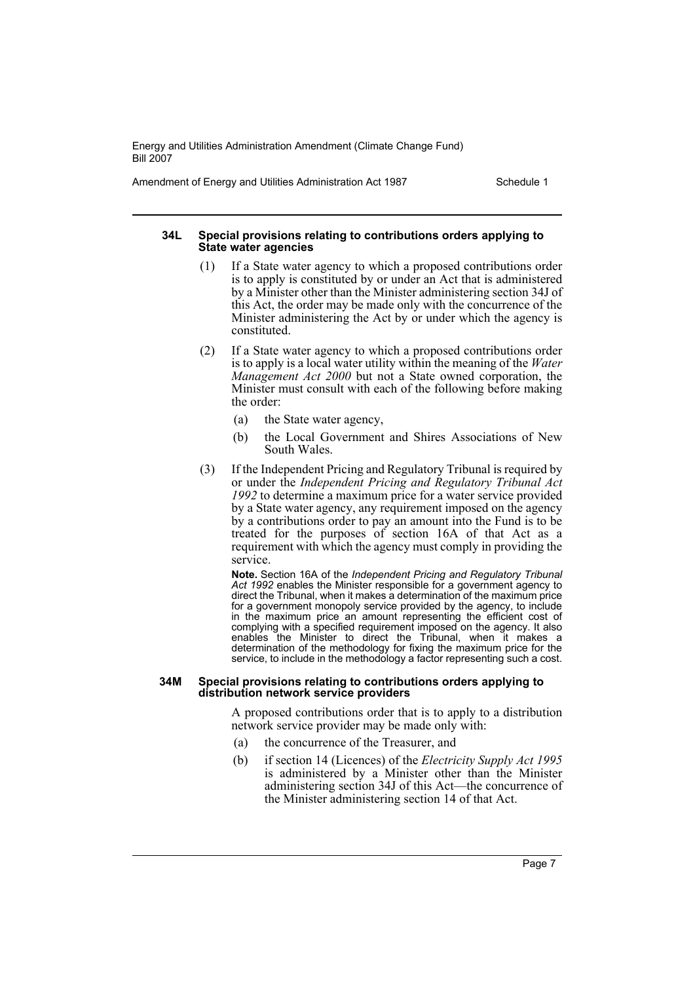Amendment of Energy and Utilities Administration Act 1987 Schedule 1

#### **34L Special provisions relating to contributions orders applying to State water agencies**

- (1) If a State water agency to which a proposed contributions order is to apply is constituted by or under an Act that is administered by a Minister other than the Minister administering section 34J of this Act, the order may be made only with the concurrence of the Minister administering the Act by or under which the agency is constituted.
- (2) If a State water agency to which a proposed contributions order is to apply is a local water utility within the meaning of the *Water Management Act 2000* but not a State owned corporation, the Minister must consult with each of the following before making the order:
	- (a) the State water agency,
	- (b) the Local Government and Shires Associations of New South Wales.
- (3) If the Independent Pricing and Regulatory Tribunal is required by or under the *Independent Pricing and Regulatory Tribunal Act 1992* to determine a maximum price for a water service provided by a State water agency, any requirement imposed on the agency by a contributions order to pay an amount into the Fund is to be treated for the purposes of section 16A of that Act as a requirement with which the agency must comply in providing the service.

**Note.** Section 16A of the *Independent Pricing and Regulatory Tribunal Act 1992* enables the Minister responsible for a government agency to direct the Tribunal, when it makes a determination of the maximum price for a government monopoly service provided by the agency, to include in the maximum price an amount representing the efficient cost of complying with a specified requirement imposed on the agency. It also enables the Minister to direct the Tribunal, when it makes a determination of the methodology for fixing the maximum price for the service, to include in the methodology a factor representing such a cost.

#### **34M Special provisions relating to contributions orders applying to distribution network service providers**

A proposed contributions order that is to apply to a distribution network service provider may be made only with:

- (a) the concurrence of the Treasurer, and
- (b) if section 14 (Licences) of the *Electricity Supply Act 1995* is administered by a Minister other than the Minister administering section 34J of this Act—the concurrence of the Minister administering section 14 of that Act.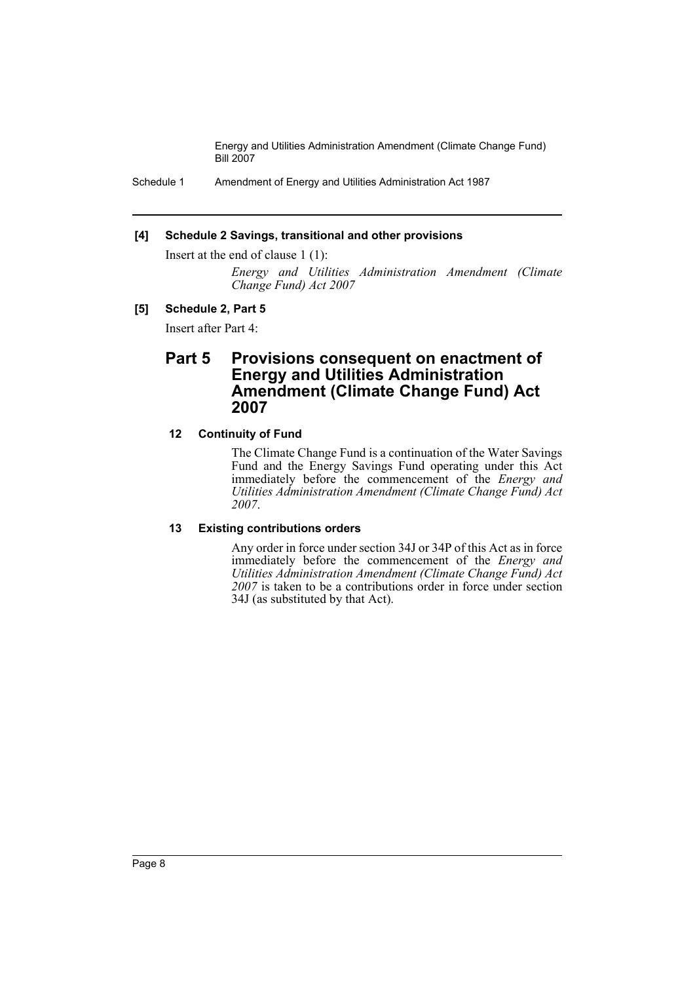Schedule 1 Amendment of Energy and Utilities Administration Act 1987

#### **[4] Schedule 2 Savings, transitional and other provisions**

Insert at the end of clause 1 (1):

*Energy and Utilities Administration Amendment (Climate Change Fund) Act 2007*

#### **[5] Schedule 2, Part 5**

Insert after Part 4:

# **Part 5 Provisions consequent on enactment of Energy and Utilities Administration Amendment (Climate Change Fund) Act 2007**

#### **12 Continuity of Fund**

The Climate Change Fund is a continuation of the Water Savings Fund and the Energy Savings Fund operating under this Act immediately before the commencement of the *Energy and Utilities Administration Amendment (Climate Change Fund) Act 2007*.

#### **13 Existing contributions orders**

Any order in force under section 34J or 34P of this Act as in force immediately before the commencement of the *Energy and Utilities Administration Amendment (Climate Change Fund) Act 2007* is taken to be a contributions order in force under section 34J (as substituted by that Act).